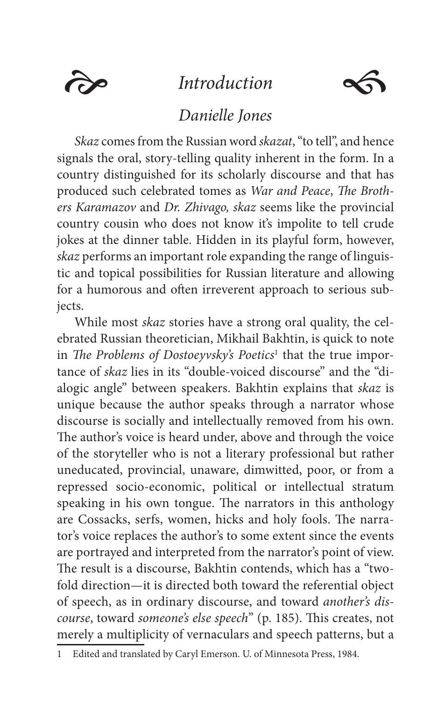

## $\hat{\sigma}$  Introduction  $\hat{\sigma}$ *Introduction*



## *Danielle Jones*

*Skaz* comes from the Russian word *skazat*, "to tell", and hence signals the oral, story-telling quality inherent in the form. In a country distinguished for its scholarly discourse and that has produced such celebrated tomes as *War and Peace*, *The Brothers Karamazov* and *Dr. Zhivago, skaz* seems like the provincial country cousin who does not know it's impolite to tell crude jokes at the dinner table. Hidden in its playful form, however, *skaz* performs an important role expanding the range of linguistic and topical possibilities for Russian literature and allowing for a humorous and often irreverent approach to serious subjects.

While most *skaz* stories have a strong oral quality, the celebrated Russian theoretician, Mikhail Bakhtin, is quick to note in *The Problems of Dostoeyvsky's Poetics*<sup>1</sup> that the true importance of *skaz* lies in its "double-voiced discourse" and the "dialogic angle" between speakers. Bakhtin explains that *skaz* is unique because the author speaks through a narrator whose discourse is socially and intellectually removed from his own. The author's voice is heard under, above and through the voice of the storyteller who is not a literary professional but rather uneducated, provincial, unaware, dimwitted, poor, or from a repressed socio-economic, political or intellectual stratum speaking in his own tongue. The narrators in this anthology are Cossacks, serfs, women, hicks and holy fools. The narrator's voice replaces the author's to some extent since the events are portrayed and interpreted from the narrator's point of view. The result is a discourse, Bakhtin contends, which has a "twofold direction—it is directed both toward the referential object of speech, as in ordinary discourse, and toward *another's discourse*, toward *someone's else speech*" (p. 185). This creates, not merely a multiplicity of vernaculars and speech patterns, but a

<sup>1</sup> Edited and translated by Caryl Emerson. U. of Minnesota Press, 1984.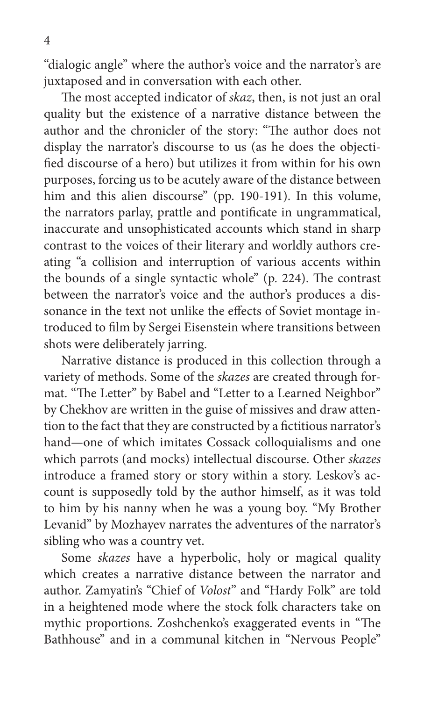"dialogic angle" where the author's voice and the narrator's are juxtaposed and in conversation with each other.

The most accepted indicator of *skaz*, then, is not just an oral quality but the existence of a narrative distance between the author and the chronicler of the story: "The author does not display the narrator's discourse to us (as he does the objectified discourse of a hero) but utilizes it from within for his own purposes, forcing us to be acutely aware of the distance between him and this alien discourse" (pp. 190-191). In this volume, the narrators parlay, prattle and pontificate in ungrammatical, inaccurate and unsophisticated accounts which stand in sharp contrast to the voices of their literary and worldly authors creating "a collision and interruption of various accents within the bounds of a single syntactic whole" (p. 224). The contrast between the narrator's voice and the author's produces a dissonance in the text not unlike the effects of Soviet montage introduced to film by Sergei Eisenstein where transitions between shots were deliberately jarring.

Narrative distance is produced in this collection through a variety of methods. Some of the *skazes* are created through format. "The Letter" by Babel and "Letter to a Learned Neighbor" by Chekhov are written in the guise of missives and draw attention to the fact that they are constructed by a fictitious narrator's hand—one of which imitates Cossack colloquialisms and one which parrots (and mocks) intellectual discourse. Other *skazes* introduce a framed story or story within a story. Leskov's account is supposedly told by the author himself, as it was told to him by his nanny when he was a young boy. "My Brother Levanid" by Mozhayev narrates the adventures of the narrator's sibling who was a country vet.

Some *skazes* have a hyperbolic, holy or magical quality which creates a narrative distance between the narrator and author. Zamyatin's "Chief of *Volost*" and "Hardy Folk" are told in a heightened mode where the stock folk characters take on mythic proportions. Zoshchenko's exaggerated events in "The Bathhouse" and in a communal kitchen in "Nervous People"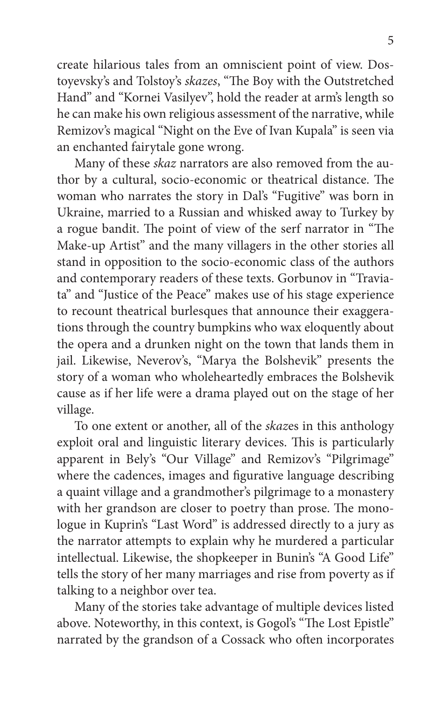create hilarious tales from an omniscient point of view. Dostoyevsky's and Tolstoy's *skazes*, "The Boy with the Outstretched Hand" and "Kornei Vasilyev", hold the reader at arm's length so he can make his own religious assessment of the narrative, while Remizov's magical "Night on the Eve of Ivan Kupala" is seen via an enchanted fairytale gone wrong.

Many of these *skaz* narrators are also removed from the author by a cultural, socio-economic or theatrical distance. The woman who narrates the story in Dal's "Fugitive" was born in Ukraine, married to a Russian and whisked away to Turkey by a rogue bandit. The point of view of the serf narrator in "The Make-up Artist" and the many villagers in the other stories all stand in opposition to the socio-economic class of the authors and contemporary readers of these texts. Gorbunov in "Traviata" and "Justice of the Peace" makes use of his stage experience to recount theatrical burlesques that announce their exaggerations through the country bumpkins who wax eloquently about the opera and a drunken night on the town that lands them in jail. Likewise, Neverov's, "Marya the Bolshevik" presents the story of a woman who wholeheartedly embraces the Bolshevik cause as if her life were a drama played out on the stage of her village.

To one extent or another, all of the *skaz*es in this anthology exploit oral and linguistic literary devices. This is particularly apparent in Bely's "Our Village" and Remizov's "Pilgrimage" where the cadences, images and figurative language describing a quaint village and a grandmother's pilgrimage to a monastery with her grandson are closer to poetry than prose. The monologue in Kuprin's "Last Word" is addressed directly to a jury as the narrator attempts to explain why he murdered a particular intellectual. Likewise, the shopkeeper in Bunin's "A Good Life" tells the story of her many marriages and rise from poverty as if talking to a neighbor over tea.

Many of the stories take advantage of multiple devices listed above. Noteworthy, in this context, is Gogol's "The Lost Epistle" narrated by the grandson of a Cossack who often incorporates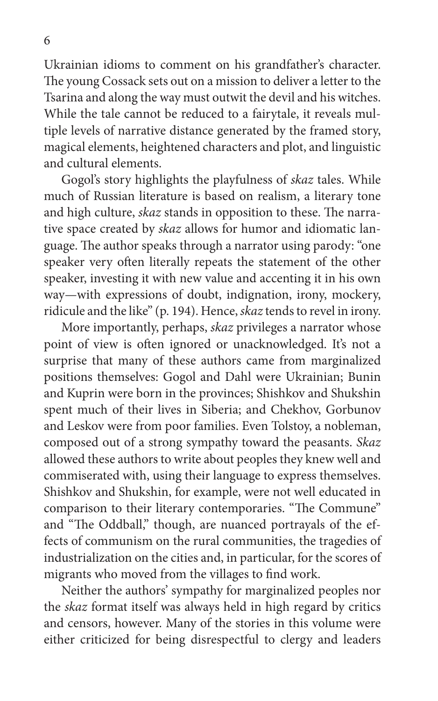Ukrainian idioms to comment on his grandfather's character. The young Cossack sets out on a mission to deliver a letter to the Tsarina and along the way must outwit the devil and his witches. While the tale cannot be reduced to a fairytale, it reveals multiple levels of narrative distance generated by the framed story, magical elements, heightened characters and plot, and linguistic and cultural elements.

Gogol's story highlights the playfulness of *skaz* tales. While much of Russian literature is based on realism, a literary tone and high culture, *skaz* stands in opposition to these. The narrative space created by *skaz* allows for humor and idiomatic language. The author speaks through a narrator using parody: "one speaker very often literally repeats the statement of the other speaker, investing it with new value and accenting it in his own way—with expressions of doubt, indignation, irony, mockery, ridicule and the like" (p. 194). Hence, *skaz* tends to revel in irony.

More importantly, perhaps, *skaz* privileges a narrator whose point of view is often ignored or unacknowledged. It's not a surprise that many of these authors came from marginalized positions themselves: Gogol and Dahl were Ukrainian; Bunin and Kuprin were born in the provinces; Shishkov and Shukshin spent much of their lives in Siberia; and Chekhov, Gorbunov and Leskov were from poor families. Even Tolstoy, a nobleman, composed out of a strong sympathy toward the peasants. *Skaz* allowed these authors to write about peoples they knew well and commiserated with, using their language to express themselves. Shishkov and Shukshin, for example, were not well educated in comparison to their literary contemporaries. "The Commune" and "The Oddball," though, are nuanced portrayals of the effects of communism on the rural communities, the tragedies of industrialization on the cities and, in particular, for the scores of migrants who moved from the villages to find work.

Neither the authors' sympathy for marginalized peoples nor the *skaz* format itself was always held in high regard by critics and censors, however. Many of the stories in this volume were either criticized for being disrespectful to clergy and leaders